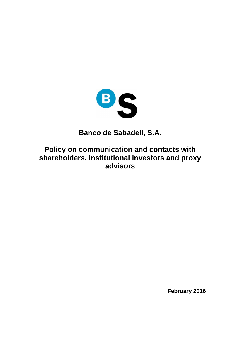

**Banco de Sabadell, S.A.** 

**Policy on communication and contacts with shareholders, institutional investors and proxy advisors**

**February 2016**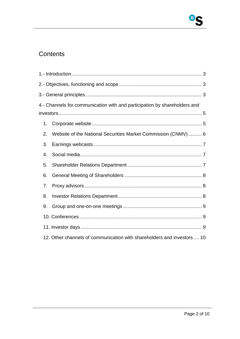# Contents

| 4.- Channels for communication with and participation by shareholders and |                                                                |
|---------------------------------------------------------------------------|----------------------------------------------------------------|
|                                                                           |                                                                |
| 1.                                                                        |                                                                |
| 2.                                                                        | Website of the National Securities Market Commission (CNMV)  6 |
| 3.                                                                        |                                                                |
| 4.                                                                        |                                                                |
| 5.                                                                        |                                                                |
| 6.                                                                        |                                                                |
| 7.                                                                        |                                                                |
| 8.                                                                        |                                                                |
| 9.                                                                        |                                                                |
|                                                                           |                                                                |
|                                                                           |                                                                |
| 12. Other channels of communication with shareholders and investors  10   |                                                                |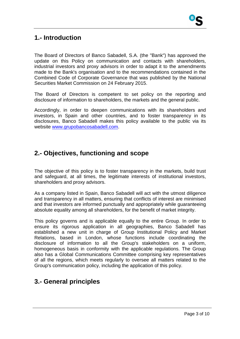## **1.- Introduction**

The Board of Directors of Banco Sabadell, S.A. (the "Bank") has approved the update on this Policy on communication and contacts with shareholders, industrial investors and proxy advisors in order to adapt it to the amendments made to the Bank's organisation and to the recommendations contained in the Combined Code of Corporate Governance that was published by the National Securities Market Commission on 24 February 2015.

The Board of Directors is competent to set policy on the reporting and disclosure of information to shareholders, the markets and the general public.

Accordingly, in order to deepen communications with its shareholders and investors, in Spain and other countries, and to foster transparency in its disclosures, Banco Sabadell makes this policy available to the public via its website www.grupobancosabadell.com.

# **2.- Objectives, functioning and scope**

The objective of this policy is to foster transparency in the markets, build trust and safeguard, at all times, the legitimate interests of institutional investors, shareholders and proxy advisors.

As a company listed in Spain, Banco Sabadell will act with the utmost diligence and transparency in all matters, ensuring that conflicts of interest are minimised and that investors are informed punctually and appropriately while guaranteeing absolute equality among all shareholders, for the benefit of market integrity.

This policy governs and is applicable equally to the entire Group. In order to ensure its rigorous application in all geographies, Banco Sabadell has established a new unit in charge of Group Institutional Policy and Market Relations, based in London, whose functions include coordinating the disclosure of information to all the Group's stakeholders on a uniform, homogeneous basis in conformity with the applicable regulations. The Group also has a Global Communications Committee comprising key representatives of all the regions, which meets regularly to oversee all matters related to the Group's communication policy, including the application of this policy.

# **3.- General principles**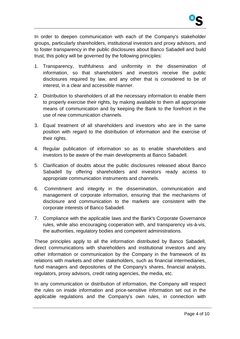

In order to deepen communication with each of the Company's stakeholder groups, particularly shareholders, institutional investors and proxy advisors, and to foster transparency in the public disclosures about Banco Sabadell and build trust, this policy will be governed by the following principles:

- 1. Transparency, truthfulness and uniformity in the dissemination of information, so that shareholders and investors receive the public disclosures required by law, and any other that is considered to be of interest, in a clear and accessible manner.
- 2. Distribution to shareholders of all the necessary information to enable them to properly exercise their rights, by making available to them all appropriate means of communication and by keeping the Bank to the forefront in the use of new communication channels.
- 3. Equal treatment of all shareholders and investors who are in the same position with regard to the distribution of information and the exercise of their rights.
- 4. Regular publication of information so as to enable shareholders and investors to be aware of the main developments at Banco Sabadell.
- 5. Clarification of doubts about the public disclosures released about Banco Sabadell by offering shareholders and investors ready access to appropriate communication instruments and channels.
- 6. Commitment and integrity in the dissemination, communication and management of corporate information, ensuring that the mechanisms of disclosure and communication to the markets are consistent with the corporate interests of Banco Sabadell.
- 7. Compliance with the applicable laws and the Bank's Corporate Governance rules, while also encouraging cooperation with, and transparency vis-à-vis, the authorities, regulatory bodies and competent administrations.

These principles apply to all the information distributed by Banco Sabadell, direct communications with shareholders and institutional investors and any other information or communication by the Company in the framework of its relations with markets and other stakeholders, such as financial intermediaries, fund managers and depositories of the Company's shares, financial analysts, regulators, proxy advisors, credit rating agencies, the media, etc.

In any communication or distribution of information, the Company will respect the rules on inside information and price-sensitive information set out in the applicable regulations and the Company's own rules, in connection with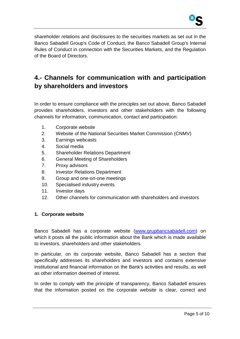

shareholder relations and disclosures to the securities markets as set out in the Banco Sabadell Group's Code of Conduct, the Banco Sabadell Group's Internal Rules of Conduct in connection with the Securities Markets, and the Regulation of the Board of Directors.

# **4.- Channels for communication with and participation by shareholders and investors**

In order to ensure compliance with the principles set out above, Banco Sabadell provides shareholders, investors and other stakeholders with the following channels for information, communication, contact and participation:

- 1. Corporate website
- 2. Website of the National Securities Market Commission (CNMV)
- 3. Earnings webcasts
- 4. Social media
- 5. Shareholder Relations Department
- 6. General Meeting of Shareholders
- 7. Proxy advisors
- 8. Investor Relations Department
- 9. Group and one-on-one meetings
- 10. Specialised industry events
- 11. Investor days
- 12. Other channels for communication with shareholders and investors

### **1. Corporate website**

Banco Sabadell has a corporate website (www.grupbancsabadell.com) on which it posts all the public information about the Bank which is made available to investors, shareholders and other stakeholders.

In particular, on its corporate website, Banco Sabadell has a section that specifically addresses its shareholders and investors and contains extensive institutional and financial information on the Bank's activities and results, as well as other information deemed of interest.

In order to comply with the principle of transparency, Banco Sabadell ensures that the information posted on the corporate website is clear, correct and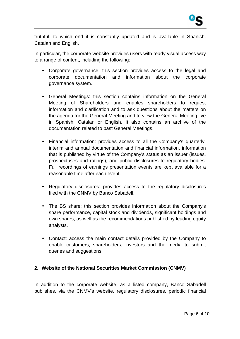truthful, to which end it is constantly updated and is available in Spanish, Catalan and English.

In particular, the corporate website provides users with ready visual access way to a range of content, including the following:

- Corporate governance: this section provides access to the legal and corporate documentation and information about the corporate governance system.
- General Meetings: this section contains information on the General Meeting of Shareholders and enables shareholders to request information and clarification and to ask questions about the matters on the agenda for the General Meeting and to view the General Meeting live in Spanish, Catalan or English. It also contains an archive of the documentation related to past General Meetings.
- Financial information: provides access to all the Company's quarterly, interim and annual documentation and financial information, information that is published by virtue of the Company's status as an issuer (issues, prospectuses and ratings), and public disclosures to regulatory bodies. Full recordings of earnings presentation events are kept available for a reasonable time after each event.
- Regulatory disclosures: provides access to the regulatory disclosures filed with the CNMV by Banco Sabadell.
- The BS share: this section provides information about the Company's share performance, capital stock and dividends, significant holdings and own shares, as well as the recommendations published by leading equity analysts.
- Contact: access the main contact details provided by the Company to enable customers, shareholders, investors and the media to submit queries and suggestions.

## **2. Website of the National Securities Market Commission (CNMV)**

In addition to the corporate website, as a listed company, Banco Sabadell publishes, via the CNMV's website, regulatory disclosures, periodic financial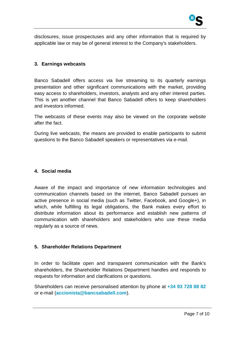

disclosures, issue prospectuses and any other information that is required by applicable law or may be of general interest to the Company's stakeholders.

#### **3. Earnings webcasts**

Banco Sabadell offers access via live streaming to its quarterly earnings presentation and other significant communications with the market, providing easy access to shareholders, investors, analysts and any other interest parties. This is yet another channel that Banco Sabadell offers to keep shareholders and investors informed.

The webcasts of these events may also be viewed on the corporate website after the fact.

During live webcasts, the means are provided to enable participants to submit questions to the Banco Sabadell speakers or representatives via e-mail.

#### **4. Social media**

Aware of the impact and importance of new information technologies and communication channels based on the internet, Banco Sabadell pursues an active presence in social media (such as Twitter, Facebook, and Google+), in which, while fulfilling its legal obligations, the Bank makes every effort to distribute information about its performance and establish new patterns of communication with shareholders and stakeholders who use these media regularly as a source of news.

### **5. Shareholder Relations Department**

In order to facilitate open and transparent communication with the Bank's shareholders, the Shareholder Relations Department handles and responds to requests for information and clarifications or questions.

Shareholders can receive personalised attention by phone at **+34 93 728 88 82** or e-mail (**accionista@bancsabadell.com**).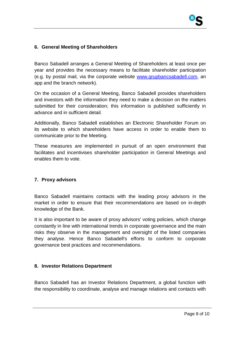### **6. General Meeting of Shareholders**

Banco Sabadell arranges a General Meeting of Shareholders at least once per year and provides the necessary means to facilitate shareholder participation (e.g. by postal mail, via the corporate website www.grupbancsabadell.com, an app and the branch network).

On the occasion of a General Meeting, Banco Sabadell provides shareholders and investors with the information they need to make a decision on the matters submitted for their consideration; this information is published sufficiently in advance and in sufficient detail.

Additionally, Banco Sabadell establishes an Electronic Shareholder Forum on its website to which shareholders have access in order to enable them to communicate prior to the Meeting.

These measures are implemented in pursuit of an open environment that facilitates and incentivises shareholder participation in General Meetings and enables them to vote.

### **7. Proxy advisors**

Banco Sabadell maintains contacts with the leading proxy advisors in the market in order to ensure that their recommendations are based on in-depth knowledge of the Bank.

It is also important to be aware of proxy advisors' voting policies, which change constantly in line with international trends in corporate governance and the main risks they observe in the management and oversight of the listed companies they analyse. Hence Banco Sabadell's efforts to conform to corporate governance best practices and recommendations.

### **8. Investor Relations Department**

Banco Sabadell has an Investor Relations Department, a global function with the responsibility to coordinate, analyse and manage relations and contacts with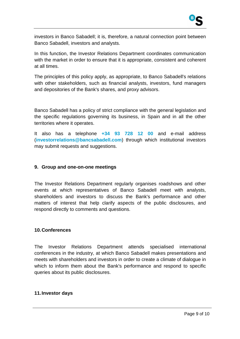investors in Banco Sabadell; it is, therefore, a natural connection point between Banco Sabadell, investors and analysts.

In this function, the Investor Relations Department coordinates communication with the market in order to ensure that it is appropriate, consistent and coherent at all times.

The principles of this policy apply, as appropriate, to Banco Sabadell's relations with other stakeholders, such as financial analysts, investors, fund managers and depositories of the Bank's shares, and proxy advisors.

Banco Sabadell has a policy of strict compliance with the general legislation and the specific regulations governing its business, in Spain and in all the other territories where it operates.

It also has a telephone **+34 93 728 12 00** and e-mail address (**investorrelations@bancsabadell.com**) through which institutional investors may submit requests and suggestions.

#### **9. Group and one-on-one meetings**

The Investor Relations Department regularly organises roadshows and other events at which representatives of Banco Sabadell meet with analysts, shareholders and investors to discuss the Bank's performance and other matters of interest that help clarify aspects of the public disclosures, and respond directly to comments and questions.

#### **10. Conferences**

The Investor Relations Department attends specialised international conferences in the industry, at which Banco Sabadell makes presentations and meets with shareholders and investors in order to create a climate of dialogue in which to inform them about the Bank's performance and respond to specific queries about its public disclosures.

#### **11. Investor days**